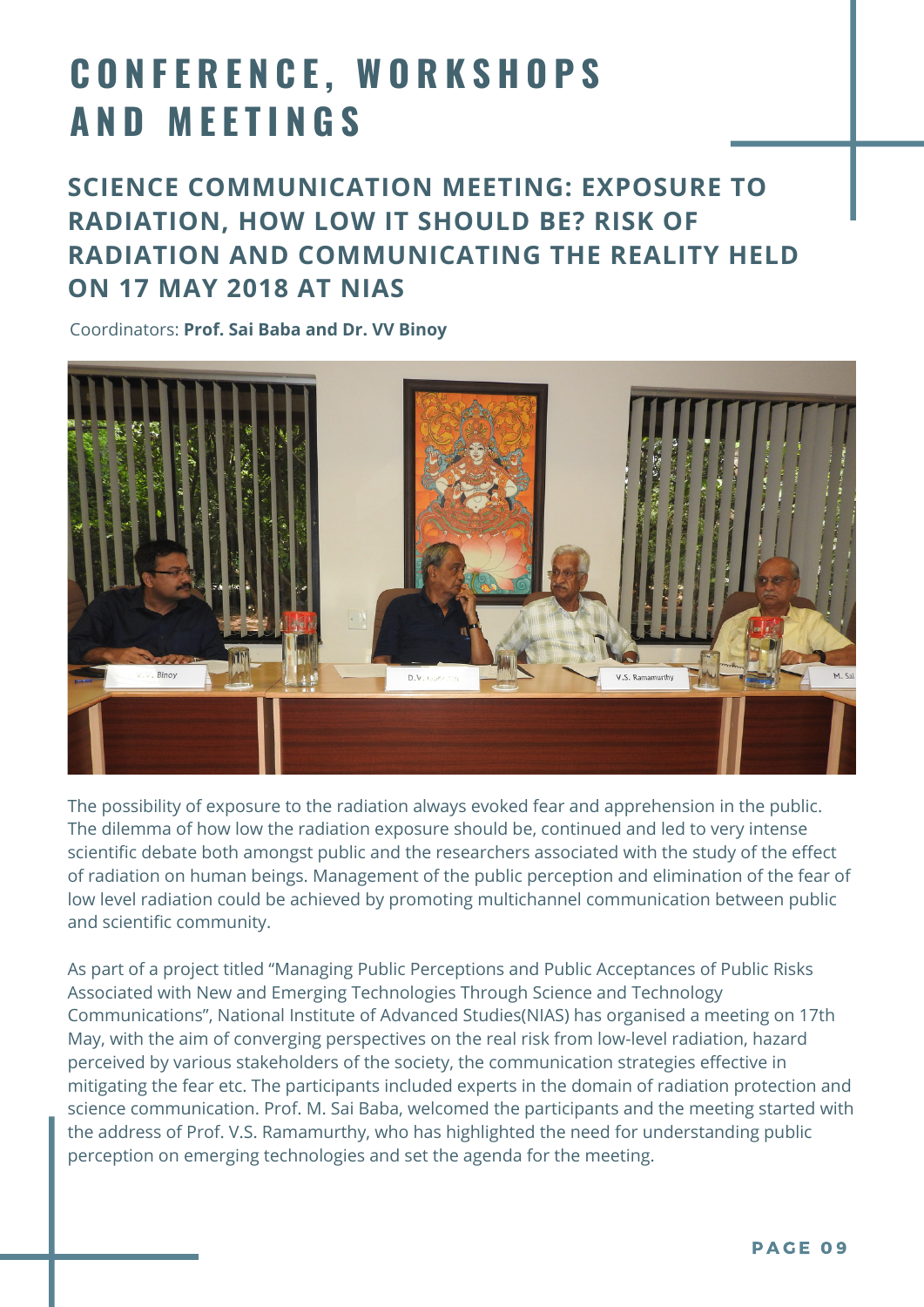## **C O N F E R E N C E , W O R K S H O P S A N D M E E T I N G S**

## **SCIENCE COMMUNICATION MEETING: EXPOSURE TO RADIATION, HOW LOW IT SHOULD BE? RISK OF RADIATION AND COMMUNICATING THE REALITY HELD ON 17 MAY 2018 AT NIAS**

Coordinators: **Prof. Sai Baba and Dr. VV Binoy**



The possibility of exposure to the radiation always evoked fear and apprehension in the public. The dilemma of how low the radiation exposure should be, continued and led to very intense scientific debate both amongst public and the researchers associated with the study of the effect of radiation on human beings. Management of the public perception and elimination of the fear of low level radiation could be achieved by promoting multichannel communication between public and scientific community.

As part of a project titled "Managing Public Perceptions and Public Acceptances of Public Risks Associated with New and Emerging Technologies Through Science and Technology Communications", National Institute of Advanced Studies(NIAS) has organised a meeting on 17th May, with the aim of converging perspectives on the real risk from low-level radiation, hazard perceived by various stakeholders of the society, the communication strategies effective in mitigating the fear etc. The participants included experts in the domain of radiation protection and science communication. Prof. M. Sai Baba, welcomed the participants and the meeting started with the address of Prof. V.S. Ramamurthy, who has highlighted the need for understanding public perception on emerging technologies and set the agenda for the meeting.